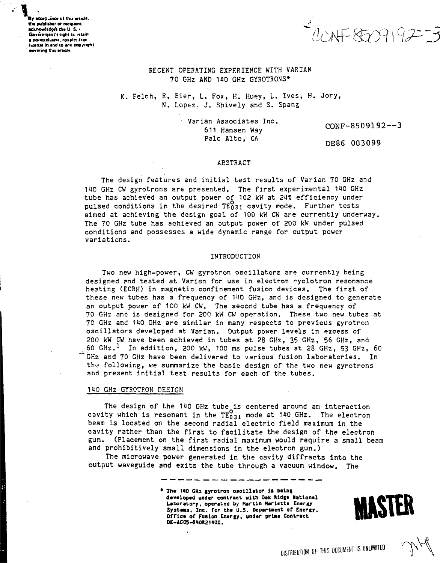By accepuince of this article, the publisher or recioient. acknowledge the U.S. Government's right to retain a nonexclusive, royalty-free sans in and to any converent covering this article.

 $223$ 

## RECENT OPERATING EXPERIENCE WITH VARIAN 70 GHz AND 140 GHz GYROTRONS\*

K. Felch, R. Bier, L. Fox, H. Huey, L. Ives, H. Jory, N. Lopez. J. Shively and S. Spang

> Varian Associates Inc. 611 Hansen Way Palc Alto. CA

 $CONF-8509192--3$ 

DE86 003099

#### **ABSTRACT**

The design features and initial test results of Varian 70 GHz and 140 GHz CW gyrotrons are presented. The first experimental 140 GHz tube has achieved an output power of 102 kW at 24% efficiency under pulsed conditions in the desired TE031 cavity mode. Further tests aimed at achieving the design goal of 100 kW CW are currently underway. The 70 GHz tube has achieved an output power of 200 kW under pulsed conditions and possesses a wide dynamic range for output power variations.

#### INTRODUCTION

Two new high-power, CW gyrotron oscillators are currently being designed and tested at Varian for use in electron eyclotron resonance heating (ECRH) in magnetic confinement fusion devices. The first of these new tubes has a frequency of 140 GHz, and is designed to generate an output power of 100 kW CW. The second tube has a frequency of 70 GHz and is designed for 200 kW CW operation. These two new tubes at 70 GHz and 140 GHz are similar in many respects to previous gyrotron oscillators developed at Varian. Output power levels in excess of 200 kW CW have been achieved in tubes at 28 GHz, 35 GHz, 56 GHz, and 60 GHz.<sup>1</sup> In addition, 200 kW, 100 ms pulse tubes at 28 GHz, 53 GHz, 60 GHz and 70 GHz have been delivered to various fusion laboratories. In the following, we summarize the basic design of the two new gyrotrons and present initial test results for each of the tubes.

#### 140 GHZ GYROTRON DESIGN

The design of the 140 GHz tube is centered around an interaction<br>cavity which is resonant in the  $TE_{031}^{O}$  mode at 140 GHz. The electron beam is located on the second radial electric field maximum in the cavity rather than the first to facilitate the design of the electron gun. (Placement on the first radial maximum would require a small beam and prohibitively small dimensions in the electron gun.)

The microwave power generated in the cavity diffracts into the output waveguide and exits the tube through a vacuum window. The

> \* The 140 GHz gyrotron oscillator is being developed under contract with Oak Ridge Mational Laboratory, operated by Martin Marietts Energy Systems, Inc. for the U.S. Department of Energy, Office of Fusion Energy, under prime Contract DE-AC05-840R21400.

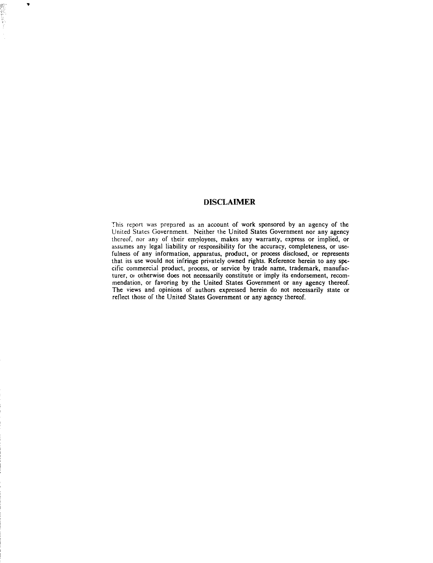# DISCLAIMER

 $\overline{\phantom{a}}$ 

This report was prepared as an account of work sponsored by an agency of the United States Government. Neither the United States Government nor any agency thereof, nor any of their employees, makes any warranty, express or implied, or assumes any legal liability or responsibility for the accuracy, completeness, or usefulness of any information, apparatus, product, or process disclosed, or represents that its use would not infringe privately owned rights. Reference herein to any specific commercial product, process, or service by trade name, trademark, manufacturer, or otherwise does not necessarily constitute or imply its endorsement, recommendation, or favoring by the United States Government or any agency thereof. The views and opinions of authors expressed herein do not necessarily state or reflect those of the United States Government or any agency thereof.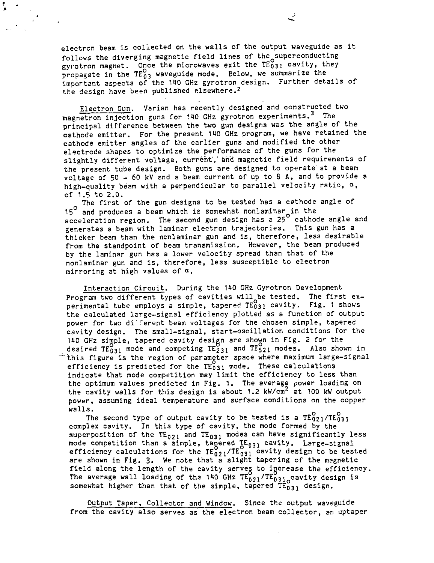electron beam is collected on the walls of the output waveguide as it follows the diverging magnetic field lines of the superconducting gyrotron magnet. Once the microwaves exit the  $TE_{031}^{\circ}$  cavity, they propagate in the  $TE_{03}^{\infty}$  waveguide mode. Below, we summarize the important aspects of the 140 GHz gyrotron design. Further details of the design have been published elsewhere.<sup>2</sup>

 $\frac{\pi}{4}$ 

Electron Gun. Varian has recently designed and constructed two magnetron injection guns for 140 GHz gyrotron experiments.<sup>3</sup> The principal difference between the two gun designs was the angle of the cathode emitter. For the present 140 GHz program, we have retained the cathode emitter angles of the earlier guns and modified the other electrode shapes to optimize the performance of the guns for the slightly different voltage, current, and magnetic field requirements of the present tube design. Both guns are designed to operate at a bean voltage of 50 - 60 kV snd a beam current of up to 8 A, and to provide a high-quality beam with a perpendicular to parallel velocity ratio,  $\alpha$ , of 1.5 to 2.0.

The first of the gun designs to be tested has a cathode angle of 15° and produces a beam which is somewhat nonlaminar in the acceleration region. The second gun design has a 25" cathode angle and generates a beam with laminar electron trajectories. This gun has a thicker beam than the nonlaminar gun and is, therefore, less desirable from the standpoint of beam transmission. However, the beam produced by the laminar gun has a lower velocity spread than that of the nonlaminar gun and is, therefore, less susceptible to electron mirroring at high values of  $a$ .

Interaction Circuit. During the 140 GHz Gyrotron Development Program two different types of cavities will be tested. The first experimental tube employs a simple, tapered TE031 cavity. Fig. 1 shows the calculated large-signal efficiency plotted as a function of output power for two different beam voltages for the chosen simple, tapered cavity design. The small-signal, start-oscillation conditions for the 140 GHz simple, tapered cavity design are shown in Fig. 2 for the desired  $TE_{031}^{0}$  mode and competing  $TE_{231}^{0}$  and  $TE_{521}^{0}$  modes. Also shown in "this figure is the region of parameter space where maximum large-signal efficiency is predicted for the  $TE_{0,31}$  mode. These calculations indicate that mode competition may limit the efficiency to less than the optimum values predicted in Fig. 1. The average power loading on the cavity walls for this design is about 1.2 kW/cm<sup>2</sup> at 100 kW output power, assuming ideal temperature and surface conditions on the copper .<br>walls.

The second type of output cavity to be tested is a  $TE_{021}^{\nu}/TE_{031}^{\nu}$ complex cavity. In this type of cavity, the mode formed by the superposition of the  $TE_{021}$  and  $TE_{031}$  modes can have significantly less mode competition than a simple, tagered  $\text{\tt [E_{031}]}$  cavity. Large-signal efficiency calculations for the  $\texttt{TE}_{021}^{\bullet} / \texttt{TE}_{031}^{\bullet}$  cavity design to be tested are shown in Fig. 3. We note that a slight tapering of the magnetic field along the length of the cavity serves to increase the efficiency. The average wall loading of the 140 GHz  $\texttt{TE}_{021}/\texttt{TE}_{031}$  cavity design is somewhat higher than that of the simple, tapered  $TE_{0.31}^6$  design.

Output Taper, Collector and Window. Since the output waveguide from the cavity also serves as the electron beam collector, an uptaper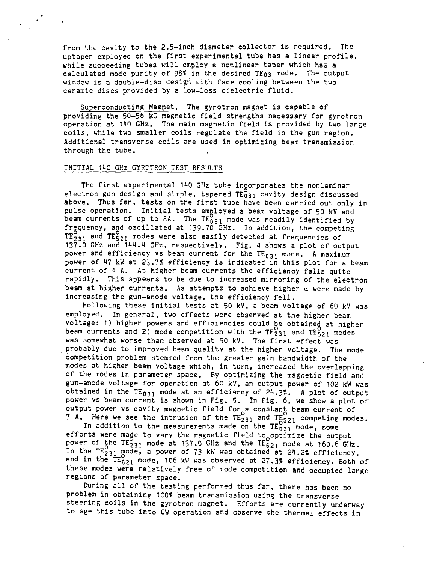from tht cavity to the 2.5-inch diameter collector is required. The uptaper employed on the first experimental tube has a linear profile, while succeeding tubes will employ a nonlinear taper which has a calculated mode purity of 98% in the desired TE03 mode. The output window is a double-disc design with face cooling between the two ceramic discs provided by a low-loss dielectric fluid.

Superconducting Magnet. The gyrotron magnet is capable of providing the 50-56 kG magnetic field strengths necessary for gyrotron operation at 110 GHz. The main magnetic field is provided by two large coils, while two smaller coils regulate the field in the gun region. Additional transverse coils are used in optimizing beam transmission through the tube.

### INITIAL H1Q GHz GYROTRON TEST RESULTS

The first experimental 140 GHz tube incorporates the nonlaminar electron gun design and simple, tapered  $TE_{031}^{\circ}$  cavity design discussed above. Thus far, tests on the first tube have been carried out only in pulse operation. Initial tests employed a beam voltage of 50 kV and beam currents of up to 8A. The  $TE_{031}^{\cup}$  mode was readily identified by frequency, and oscillated at 139.70 GHz. In addition, the competing  $TE_{231}$  and  $TE_{521}$  modes were also easily detected at frequencies of <sup>2</sup>3i  $137.0$  GHz and 144.4 GHz, respectively. Fig. 4 shows a plot of output power and efficiency vs beam current for the  $TE_{031}$  mode. A maxinum power of H7 kW at 23.7? efficiency is indicated in this plot for a beam current of 4 A. At higher beam currents the efficiency falls quite rapidly. This appears to be due to increased mirroring of the electron beam at higher currents. As attempts to achieve higher a were made by increasing the gun-anode voltage, the efficiency fell.

Following these initial tests at 50 kV, a beam voltage of 60 kV was employed. In general, two effects were observed at the higher beam voltage: 1) higher powers and efficiencies could be obtained at higher beam currents and 2) mode competition with the  $TE_{231}^{\circ}$  and  $TE_{521}^{\circ}$  modes was somewhat worse than observed at 50 kV. The first effect was probably due to improved beam quality at the higher voltage. The mode competition problem stemmed from the greater gain bandwidth of the modes at higher beam voltage which, in turn, increased the overlapping of the modes in parameter space. By optimizing the magnetic field and gun-anode voltage for operation at 60 kV, an output power of 102 kW was obtained in the TE<sub>031</sub> mode at an efficiency of 24.3%. A plot of output power vs beam current is shown in Fig. 5. In Fig. 6, we show a plot of output power vs cavity magnetic field for a constant beam current of **7 A.** Here we see the intrusion of the  $\tt TE_{231}$  and  $\tt TE_{521}^-$  competing modes.

In addition to the measurements made on the  $\tt TE^{3}_{0.3\,1}$  mode, some efforts were made to vary the magnetic field to optimize the output power of the  $TE_{231}^0$  mode at 137.0 GHz and the  $TE_{621}^0$  mode at 160.6 GHz. In the  $\texttt{TE}_{231}^\nu$  mode, a power of 73 kW was obtained at 24.2% efficiency, and in the  $TE_{621}^{\circ}$  mode, 106 kW was observed at 27.3% efficiency. Both of these modes were relatively free of mode competition and occupied large regions of parameter space.

During all of the testing performed thus far, there has been no problem in obtaining 100? beam transmission using the transverse steering coils in the gyrotron magnet. Efforts are currently underway to age this tube into CW operation and observe the thermal effects in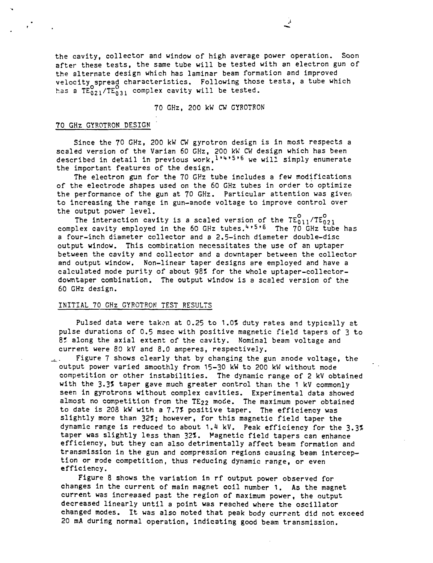the cavity, collector and window of high average power operation. Soon after these tests, the same tube will be tested with an electron gun of the alternate design which has laminar beam formation and improved velocity spread characteristics. Following those tests, a tube which has a  $TE_{021}^{O}$ /TE<sub>031</sub> complex cavity will be tested.

## 70 GHz, 200 kW CW GYROTRON

## 70 GHz GYROTRON DESIGN

Since the 70 GHz, 200 kW CW gyrotron design is in most respects a scaled version of the Varian 60 GHz, 200 kW CW design which has been described in detail in previous work, 1'4'5'6 we will simply enumerate the important features of the design.

The electron gun for the 70 GHz tube includes a few modifications of the electrode shapes used on the 60 GHz tubes in order to optimize the performance of the gun at 70 GHz. Particular attention was giver. to increasing the range in gun-anode voltage to improve control over the output power level.

The interaction cavity is a scaled version of the  $TE_{011}^O/TE_{021}^O$ complex cavity employed in the 60 GHz tubes.<sup>4,5,6</sup> The 70 GHz tube has a four-inch diameter collector and a 2.5-inch diameter double-disc output window. This combination necessitates the use of an uptaper between the cavity and collector and a downtaper between the collector and output window. Non-linear taper designs are employed and have a calculated mode purity of about 98\* for the whole uptaper-collectordowntaper combination. The output window is a scaled version of the 60 GHz design.

# INITIAL 70 GHz GYROTRON TEST RESULTS

Pulsed data were taken at 0.25 to 1.0% duty rates and typically at pulse durations of 0.5 msec with positive magnetic field tapers of 3 to 8% along the axial extent of the cavity. Nominal beam voltage and current were 80 kV and 8.0 amperes, respectively.

 $u<sub>u</sub>$ . Figure 7 shows clearly that by changing the gun anode voltage, the output power varied smoothly from 15-30 kW to 200 kW without mode competition or other instabilities. The dynamic range of 2 kV obtained with the 3.3? taper gave much greater control than the 1 kV commonly seen in gyrotrons without complex cavities. Experimental data showed almost no competition from the  $TE_{22}$  mode. The maximum power obtained to date is 208 kW with a 7.7? positive taper. The efficiency was slightly more than 32T; however, for this magnetic field taper the dynamic range is reduced to about 1.1 kV. Peak efficiency for the 3.3? taper was slightly less than 32?. Magnetic field tapers can enhance efficiency, but they can also detrimentally affect beam formation and transmission in the gun and compression regions causing beam interception or rode competition, thus reducing dynamic range, or even efficiency.

Figure 8 shows the variation in rf output power observed for changes in the current of main magnet coil number 1. As the magnet current was increased past the region of maximum power, the output decreased linearly until a point was reached where the oscillator changed modes. It was also noted that peak body current did not exceed 20 mA during normal operation, indicating good beam transmission.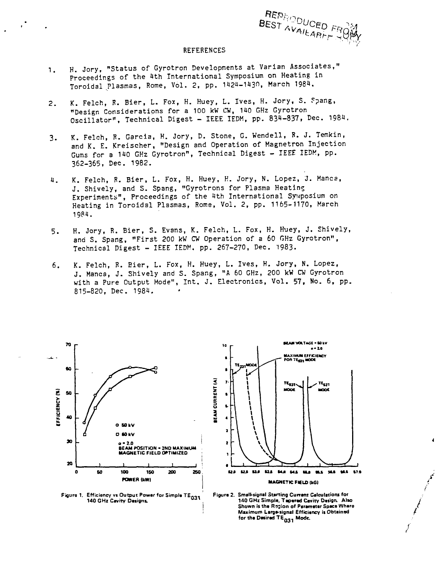

#### REFERENCES

- 1. H. Jory, "Status of Gyrotron Developments at Varian Associates," Proceedings of the 1th International Symposium on Heating in Toroidal Plasmas, Rome, Vol. 2, pp. 1424-1430, March 1984.
- 2. K. Felch, R. Bier, L. Fox, H. Huey, L. Ives, H. Jory, S. Fpang, "Design Considerations for a 100 kW CW, 140 GHz Gyrotron Oscillator", Technical Digest - IEEE IEDM, pp. 834-837, Dec. 1984.
- 3. K. Felch, B. Garcia, H. Jory, D. Stone, G. Wendell, R. J. Temkin, and K. E. Kreischer, "Design and Operation of Magnetron Injection Guns for a 140 GHz Gyrotron", Technical Digest - IEEE IEDM, pp. 362-365, Dec. 1982.
- K. Felch, R. Bier, L. Fox, H. Huey, H. Jory, N. Lopez, J. Manes, 1. J. Shively, and S. Spang, "Gyrotrons for Plasma Heating Experiments", Proceedings of the 1th International Symposium on Heating in Toroidal Plasmas, Rome, Vol. 2, pp. 1165-1170, March 1984.
- 5. H. Jory, R. Bier, S. Evans, K. Felch, L. Fox, H. Huey, J. Shively, and S. Spang, "First 200 kW CW Operation of a 60 GHz Gyrotron", Technical Digest - IEEE IEDM. pp. 267-270, Dec. 1983-
- 6. K. Felch, R. Bier, L. Fox, H. Huey, L. Ives, H. Jory, N. Lopez, J. Hanca, J. Shively and S. Spang, "A 60 GHz, 200 kW CW Gyrotron with a Pure Output Mode", Int. J. Electronics, Vol. 57, No. 6, pp. 815-820, Dec. 1984.





**Figurs 1. Efficiency vs Output Powar for Simpla TE- 0** 140 GHz Cavity Designs.